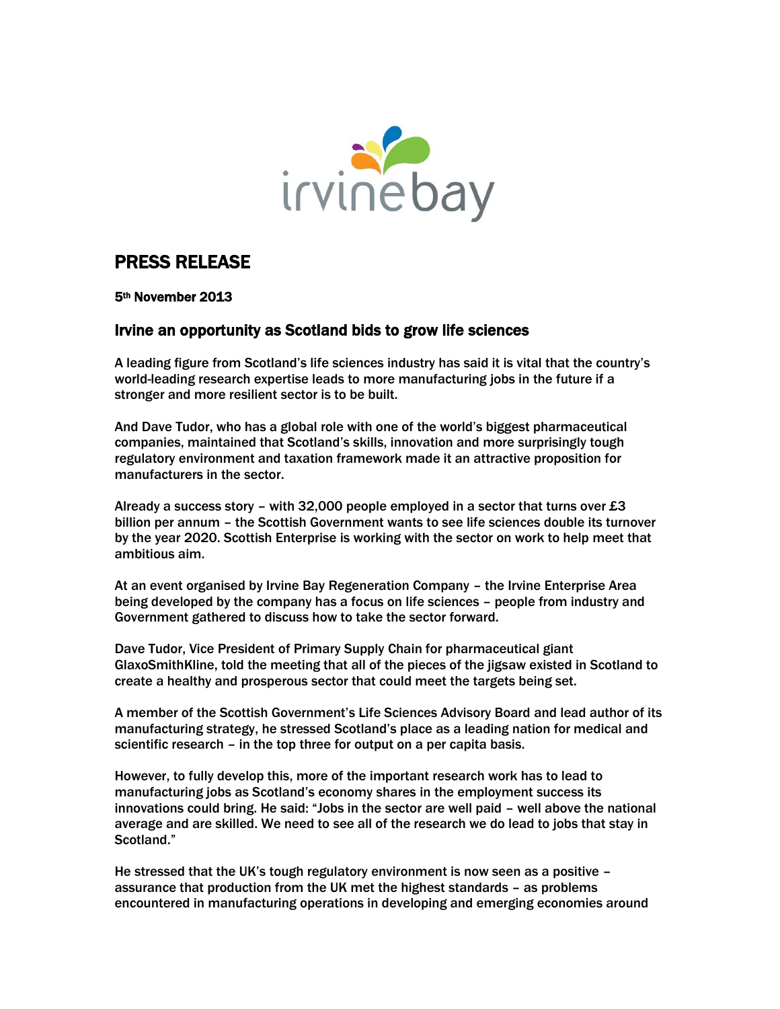

# PRESS RELEASE

5th November 2013

# Irvine an opportunity as Scotland bids to grow life sciences

A leading figure from Scotland's life sciences industry has said it is vital that the country's world-leading research expertise leads to more manufacturing jobs in the future if a stronger and more resilient sector is to be built.

And Dave Tudor, who has a global role with one of the world's biggest pharmaceutical companies, maintained that Scotland's skills, innovation and more surprisingly tough regulatory environment and taxation framework made it an attractive proposition for manufacturers in the sector.

Already a success story – with 32,000 people employed in a sector that turns over  $£3$ billion per annum – the Scottish Government wants to see life sciences double its turnover by the year 2020. Scottish Enterprise is working with the sector on work to help meet that ambitious aim.

At an event organised by Irvine Bay Regeneration Company – the Irvine Enterprise Area being developed by the company has a focus on life sciences – people from industry and Government gathered to discuss how to take the sector forward.

Dave Tudor, Vice President of Primary Supply Chain for pharmaceutical giant GlaxoSmithKline, told the meeting that all of the pieces of the jigsaw existed in Scotland to create a healthy and prosperous sector that could meet the targets being set.

A member of the Scottish Government's Life Sciences Advisory Board and lead author of its manufacturing strategy, he stressed Scotland's place as a leading nation for medical and scientific research – in the top three for output on a per capita basis.

However, to fully develop this, more of the important research work has to lead to manufacturing jobs as Scotland's economy shares in the employment success its innovations could bring. He said: "Jobs in the sector are well paid – well above the national average and are skilled. We need to see all of the research we do lead to jobs that stay in Scotland."

He stressed that the UK's tough regulatory environment is now seen as a positive – assurance that production from the UK met the highest standards – as problems encountered in manufacturing operations in developing and emerging economies around